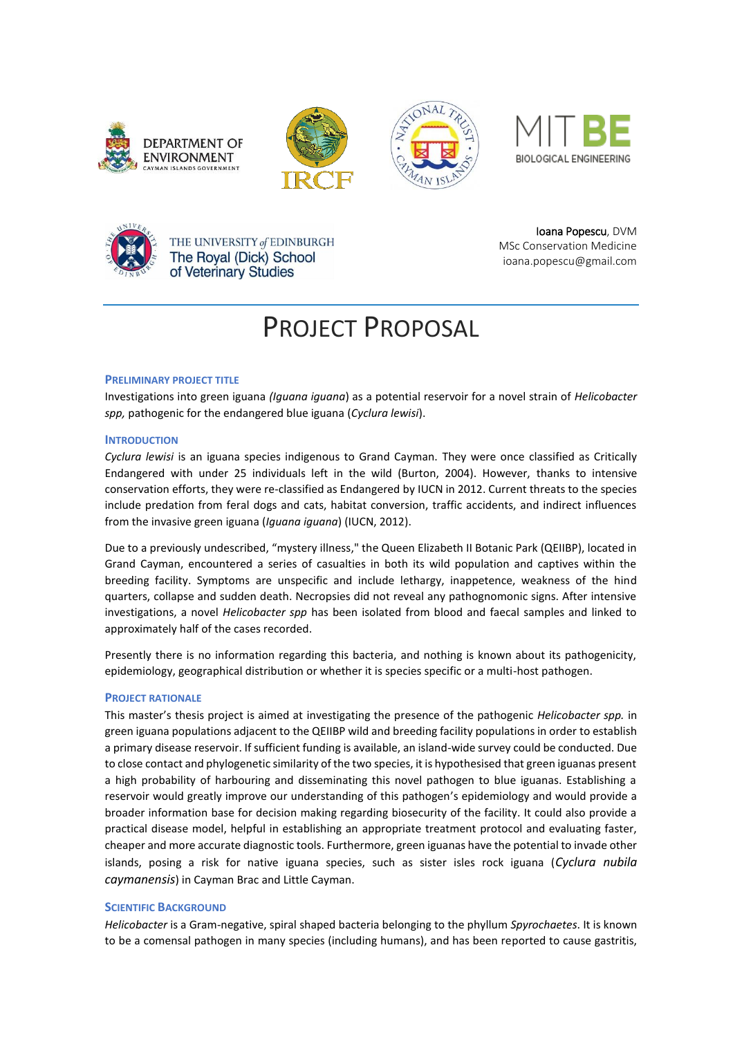









THE UNIVERSITY of EDINBURGH The Royal (Dick) School of Veterinary Studies

Ioana Popescu, DVM MSc Conservation Medicine ioana.popescu@gmail.com

# PROJECT PROPOSAL

# **PRELIMINARY PROJECT TITLE**

Investigations into green iguana *(Iguana iguana*) as a potential reservoir for a novel strain of *Helicobacter spp,* pathogenic for the endangered blue iguana (*Cyclura lewisi*).

# **INTRODUCTION**

*Cyclura lewisi* is an iguana species indigenous to Grand Cayman. They were once classified as Critically Endangered with under 25 individuals left in the wild (Burton, 2004). However, thanks to intensive conservation efforts, they were re-classified as Endangered by IUCN in 2012. Current threats to the species include predation from feral dogs and cats, habitat conversion, traffic accidents, and indirect influences from the invasive green iguana (*Iguana iguana*) (IUCN, 2012).

Due to a previously undescribed, "mystery illness," the Queen Elizabeth II Botanic Park (QEIIBP), located in Grand Cayman, encountered a series of casualties in both its wild population and captives within the breeding facility. Symptoms are unspecific and include lethargy, inappetence, weakness of the hind quarters, collapse and sudden death. Necropsies did not reveal any pathognomonic signs. After intensive investigations, a novel *Helicobacter spp* has been isolated from blood and faecal samples and linked to approximately half of the cases recorded.

Presently there is no information regarding this bacteria, and nothing is known about its pathogenicity, epidemiology, geographical distribution or whether it is species specific or a multi-host pathogen.

# **PROJECT RATIONALE**

This master's thesis project is aimed at investigating the presence of the pathogenic *Helicobacter spp.* in green iguana populations adjacent to the QEIIBP wild and breeding facility populations in order to establish a primary disease reservoir. If sufficient funding is available, an island-wide survey could be conducted. Due to close contact and phylogenetic similarity of the two species, it is hypothesised that green iguanas present a high probability of harbouring and disseminating this novel pathogen to blue iguanas. Establishing a reservoir would greatly improve our understanding of this pathogen's epidemiology and would provide a broader information base for decision making regarding biosecurity of the facility. It could also provide a practical disease model, helpful in establishing an appropriate treatment protocol and evaluating faster, cheaper and more accurate diagnostic tools. Furthermore, green iguanas have the potential to invade other islands, posing a risk for native iguana species, such as sister isles rock iguana (*Cyclura nubila caymanensis*) in Cayman Brac and Little Cayman.

# **SCIENTIFIC BACKGROUND**

*Helicobacter* is a Gram-negative, spiral shaped bacteria belonging to the phyllum *Spyrochaetes*. It is known to be a comensal pathogen in many species (including humans), and has been reported to cause gastritis,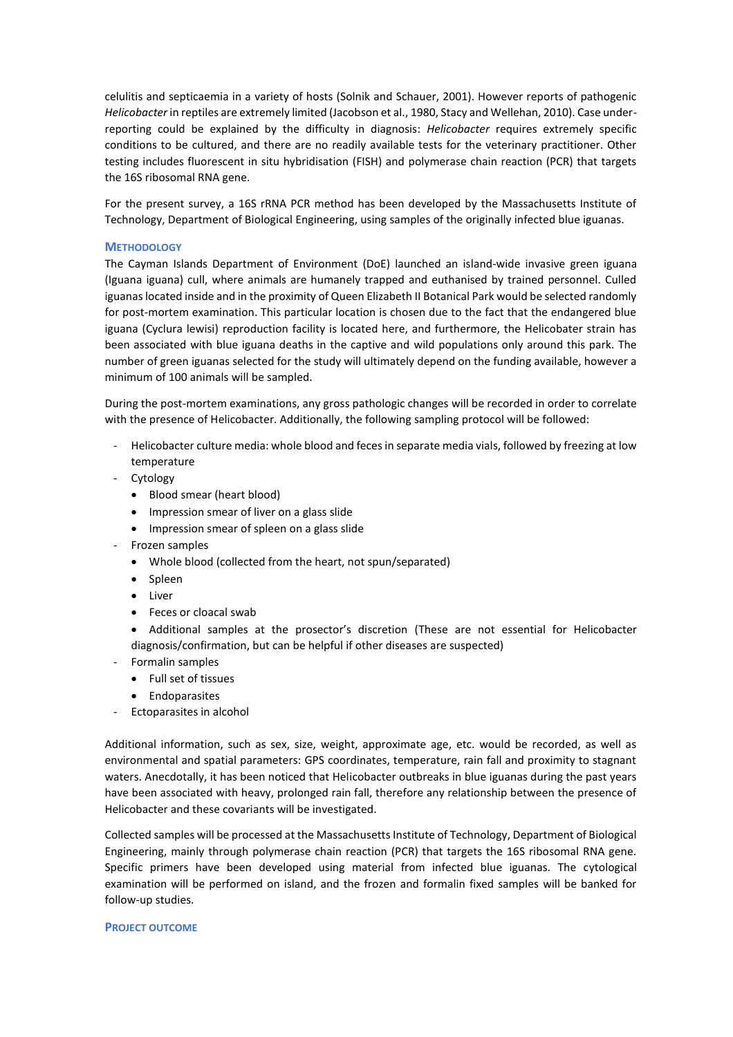celulitis and septicaemia in a variety of hosts (Solnik and Schauer, 2001). However reports of pathogenic *Helicobacter* in reptiles are extremely limited (Jacobson et al., 1980, Stacy and Wellehan, 2010). Case underreporting could be explained by the difficulty in diagnosis: *Helicobacter* requires extremely specific conditions to be cultured, and there are no readily available tests for the veterinary practitioner. Other testing includes fluorescent in situ hybridisation (FISH) and polymerase chain reaction (PCR) that targets the 16S ribosomal RNA gene.

For the present survey, a 16S rRNA PCR method has been developed by the Massachusetts Institute of Technology, Department of Biological Engineering, using samples of the originally infected blue iguanas.

#### **METHODOLOGY**

The Cayman Islands Department of Environment (DoE) launched an island-wide invasive green iguana (Iguana iguana) cull, where animals are humanely trapped and euthanised by trained personnel. Culled iguanas located inside and in the proximity of Queen Elizabeth II Botanical Park would be selected randomly for post-mortem examination. This particular location is chosen due to the fact that the endangered blue iguana (Cyclura lewisi) reproduction facility is located here, and furthermore, the Helicobater strain has been associated with blue iguana deaths in the captive and wild populations only around this park. The number of green iguanas selected for the study will ultimately depend on the funding available, however a minimum of 100 animals will be sampled.

During the post-mortem examinations, any gross pathologic changes will be recorded in order to correlate with the presence of Helicobacter. Additionally, the following sampling protocol will be followed:

- Helicobacter culture media: whole blood and feces in separate media vials, followed by freezing at low temperature
- Cytology
	- Blood smear (heart blood)
	- Impression smear of liver on a glass slide
	- Impression smear of spleen on a glass slide
- Frozen samples
	- Whole blood (collected from the heart, not spun/separated)
	- Spleen
	- Liver
	- Feces or cloacal swab

• Additional samples at the prosector's discretion (These are not essential for Helicobacter diagnosis/confirmation, but can be helpful if other diseases are suspected)

- Formalin samples
	- Full set of tissues
	- **•** Endoparasites
- Ectoparasites in alcohol

Additional information, such as sex, size, weight, approximate age, etc. would be recorded, as well as environmental and spatial parameters: GPS coordinates, temperature, rain fall and proximity to stagnant waters. Anecdotally, it has been noticed that Helicobacter outbreaks in blue iguanas during the past years have been associated with heavy, prolonged rain fall, therefore any relationship between the presence of Helicobacter and these covariants will be investigated.

Collected samples will be processed at the Massachusetts Institute of Technology, Department of Biological Engineering, mainly through polymerase chain reaction (PCR) that targets the 16S ribosomal RNA gene. Specific primers have been developed using material from infected blue iguanas. The cytological examination will be performed on island, and the frozen and formalin fixed samples will be banked for follow-up studies.

#### **PROJECT OUTCOME**